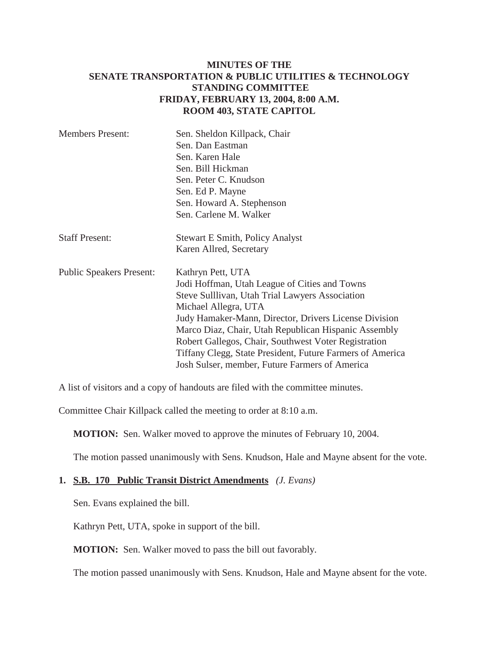# **MINUTES OF THE SENATE TRANSPORTATION & PUBLIC UTILITIES & TECHNOLOGY STANDING COMMITTEE FRIDAY, FEBRUARY 13, 2004, 8:00 A.M. ROOM 403, STATE CAPITOL**

| <b>Members Present:</b>         | Sen. Sheldon Killpack, Chair<br>Sen. Dan Eastman<br>Sen. Karen Hale<br>Sen. Bill Hickman<br>Sen. Peter C. Knudson<br>Sen. Ed P. Mayne<br>Sen. Howard A. Stephenson                                                                                                                                                                                                                                                                    |
|---------------------------------|---------------------------------------------------------------------------------------------------------------------------------------------------------------------------------------------------------------------------------------------------------------------------------------------------------------------------------------------------------------------------------------------------------------------------------------|
| <b>Staff Present:</b>           | Sen. Carlene M. Walker<br><b>Stewart E Smith, Policy Analyst</b>                                                                                                                                                                                                                                                                                                                                                                      |
|                                 | Karen Allred, Secretary                                                                                                                                                                                                                                                                                                                                                                                                               |
| <b>Public Speakers Present:</b> | Kathryn Pett, UTA<br>Jodi Hoffman, Utah League of Cities and Towns<br>Steve Sulllivan, Utah Trial Lawyers Association<br>Michael Allegra, UTA<br>Judy Hamaker-Mann, Director, Drivers License Division<br>Marco Diaz, Chair, Utah Republican Hispanic Assembly<br>Robert Gallegos, Chair, Southwest Voter Registration<br>Tiffany Clegg, State President, Future Farmers of America<br>Josh Sulser, member, Future Farmers of America |

A list of visitors and a copy of handouts are filed with the committee minutes.

Committee Chair Killpack called the meeting to order at 8:10 a.m.

**MOTION:** Sen. Walker moved to approve the minutes of February 10, 2004.

The motion passed unanimously with Sens. Knudson, Hale and Mayne absent for the vote.

#### **1. S.B. 170 Public Transit District Amendments** *(J. Evans)*

Sen. Evans explained the bill.

Kathryn Pett, UTA, spoke in support of the bill.

**MOTION:** Sen. Walker moved to pass the bill out favorably.

The motion passed unanimously with Sens. Knudson, Hale and Mayne absent for the vote.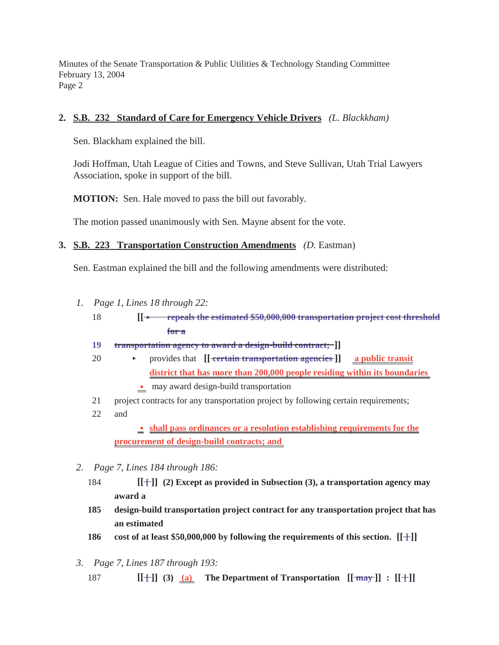### **2. S.B. 232 Standard of Care for Emergency Vehicle Drivers** *(L. Blackkham)*

Sen. Blackham explained the bill.

Jodi Hoffman, Utah League of Cities and Towns, and Steve Sullivan, Utah Trial Lawyers Association, spoke in support of the bill.

**MOTION:** Sen. Hale moved to pass the bill out favorably.

The motion passed unanimously with Sen. Mayne absent for the vote.

#### **3. S.B. 223 Transportation Construction Amendments** *(D.* Eastman)

Sen. Eastman explained the bill and the following amendments were distributed:

- *1. Page 1, Lines 18 through 22:*
	- 18 **[[** < **repeals the estimated \$50,000,000 transportation project cost threshold for a**
	- **19 transportation agency to award a design-build contract; ]]**
	- 20 < provides that **[[ certain transportation agencies ]] a public transit district that has more than 200,000 people residing within its boundaries** 
		- $\bullet$  may award design-build transportation
	- 21 project contracts for any transportation project by following certain requirements;
	- 22 and

 $\bullet$  shall pass ordinances or a resolution establishing requirements for the **procurement of design-build contracts; and** 

- *2. Page 7, Lines 184 through 186:*
	- 184 **[[ [ ]] (2) Except as provided in Subsection (3), a transportation agency may award a**
	- **185 design-build transportation project contract for any transportation project that has an estimated**
	- **186** cost of at least \$50,000,000 by following the requirements of this section.  $[[\cdot \cdot \cdot]]$
- *3. Page 7, Lines 187 through 193:*
	- 187 **[[+]] (3) (a) The Department of Transportation**  $[[\frac{1}{may}]]$  :  $[[+]]$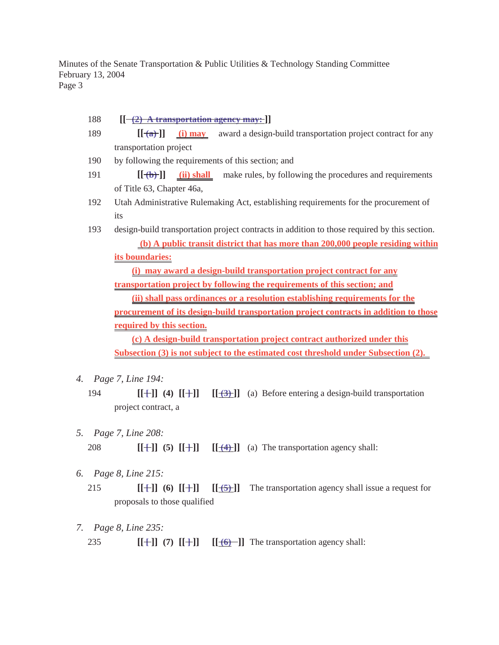- 188  $\left[ \left[ \frac{-2}{2} \right]$  **A transportation agency may:**  $\left[ \right]$
- 189 **[[ (a) ]] (i) may** award a design-build transportation project contract for any transportation project
- 190 by following the requirements of this section; and
- 191 **[[ (b) ]] (ii) shall** make rules, by following the procedures and requirements of Title 63, Chapter 46a,
- 192 Utah Administrative Rulemaking Act, establishing requirements for the procurement of its
- 193 design-build transportation project contracts in addition to those required by this section.  **(b) A public transit district that has more than 200,000 people residing within its boundaries:**

**(i) may award a design-build transportation project contract for any transportation project by following the requirements of this section; and**

**(ii) shall pass ordinances or a resolution establishing requirements for the procurement of its design-build transportation project contracts in addition to those required by this section.**

**(c) A design-build transportation project contract authorized under this Subsection (3) is not subject to the estimated cost threshold under Subsection (2).** 

- *4. Page 7, Line 194:*
	- 194  $[[+]]$  (4)  $[[+]]$   $[[+3]+]$  (a) Before entering a design-build transportation project contract, a
- *5. Page 7, Line 208:*

208 **[[+]] (5)**  $[[+]]$  **[[+1]**  $[[(4)]$  (a) The transportation agency shall:

- *6. Page 8, Line 215:*
	- 215 **[[+]] (6) [[+]]** [[<del>(5)</del>]] The transportation agency shall issue a request for proposals to those qualified
- *7. Page 8, Line 235:*
	- 235 **[[+]] (7)**  $[[+]]$   $[[+0)-]]$  The transportation agency shall: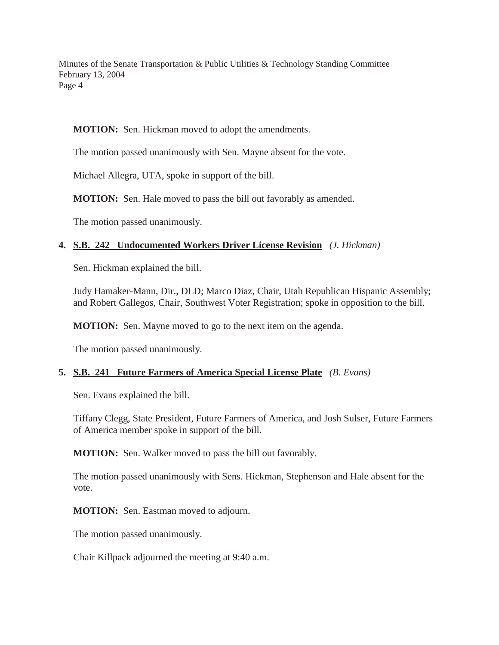**MOTION:** Sen. Hickman moved to adopt the amendments.

The motion passed unanimously with Sen. Mayne absent for the vote.

Michael Allegra, UTA, spoke in support of the bill.

**MOTION:** Sen. Hale moved to pass the bill out favorably as amended.

The motion passed unanimously.

# **4. S.B. 242 Undocumented Workers Driver License Revision** *(J. Hickman)*

Sen. Hickman explained the bill.

Judy Hamaker-Mann, Dir., DLD; Marco Diaz, Chair, Utah Republican Hispanic Assembly; and Robert Gallegos, Chair, Southwest Voter Registration; spoke in opposition to the bill.

**MOTION:** Sen. Mayne moved to go to the next item on the agenda.

The motion passed unanimously.

# **5. S.B. 241 Future Farmers of America Special License Plate** *(B. Evans)*

Sen. Evans explained the bill.

Tiffany Clegg, State President, Future Farmers of America, and Josh Sulser, Future Farmers of America member spoke in support of the bill.

**MOTION:** Sen. Walker moved to pass the bill out favorably.

The motion passed unanimously with Sens. Hickman, Stephenson and Hale absent for the vote.

**MOTION:** Sen. Eastman moved to adjourn.

The motion passed unanimously.

Chair Killpack adjourned the meeting at 9:40 a.m.